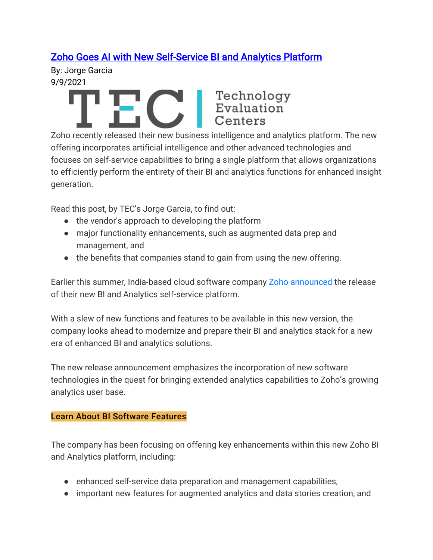## [Zoho Goes AI with New Self-Service BI and Analytics Platform](https://www3.technologyevaluation.com/research/article/zoho-releases-new-bi-analytics-platform.html)

By: Jorge Garcia 9/9/2021

# THIS Rechnology<br>
Evaluation<br>
Centers

Zoho recently released their new business intelligence and analytics platform. The new offering incorporates artificial intelligence and other advanced technologies and focuses on self-service capabilities to bring a single platform that allows organizations to efficiently perform the entirety of their BI and analytics functions for enhanced insight generation.

Read this post, by TEC's Jorge Garcia, to find out:

- the vendor's approach to developing the platform
- major functionality enhancements, such as augmented data prep and management, and
- the benefits that companies stand to gain from using the new offering.

Earlier this summer, India-based cloud software company [Zoho announced](https://www.zoho.com/news/zoho-advances-bi-analytics-market-with-new-self-service-platform.html) the release of their new BI and Analytics self-service platform.

With a slew of new functions and features to be available in this new version, the company looks ahead to modernize and prepare their BI and analytics stack for a new era of enhanced BI and analytics solutions.

The new release announcement emphasizes the incorporation of new software technologies in the quest for bringing extended analytics capabilities to Zoho's growing analytics user base.

### [Learn About BI Software Features](https://www3.technologyevaluation.com/selection-tools/p/rfp-templates/c/bi?utm_source=internal&utm_medium=CTA&TecReferer=TECWEB_CTA_articles&isCta=true)

The company has been focusing on offering key enhancements within this new Zoho BI and Analytics platform, including:

- enhanced self-service data preparation and management capabilities,
- important new features for augmented analytics and data stories creation, and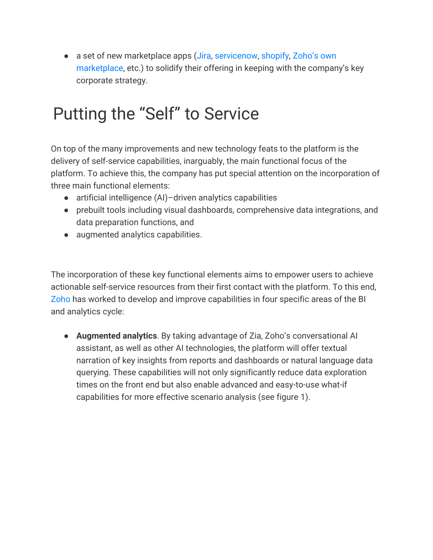● a set of new marketplace apps [\(Jira,](https://www.atlassian.com/software/jira) [servicenow,](https://www.servicenow.com/) [shopify,](https://www.shopify.com/) Zoho's own [marketplace](https://marketplace.zoho.com/home), etc.) to solidify their offering in keeping with the company's key corporate strategy.

## Putting the "Self" to Service

On top of the many improvements and new technology feats to the platform is the delivery of self-service capabilities, inarguably, the main functional focus of the platform. To achieve this, the company has put special attention on the incorporation of three main functional elements:

- artificial intelligence (AI)-driven analytics capabilities
- prebuilt tools including visual dashboards, comprehensive data integrations, and data preparation functions, and
- augmented analytics capabilities.

The incorporation of these key functional elements aims to empower users to achieve actionable self-service resources from their first contact with the platform. To this end, [Zoho](https://www3.technologyevaluation.com/research/company/zoho.html) has worked to develop and improve capabilities in four specific areas of the BI and analytics cycle:

● **Augmented analytics**. By taking advantage of Zia, Zoho's conversational AI assistant, as well as other AI technologies, the platform will offer textual narration of key insights from reports and dashboards or natural language data querying. These capabilities will not only significantly reduce data exploration times on the front end but also enable advanced and easy-to-use what-if capabilities for more effective scenario analysis (see figure 1).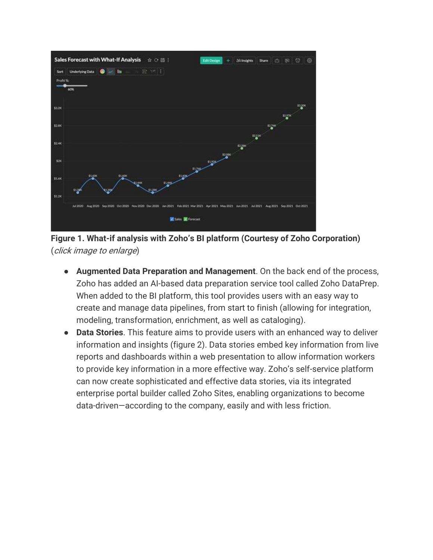

**Figure 1. What-if analysis with Zoho's BI platform (Courtesy of Zoho Corporation)** (click image to enlarge)

- **Augmented Data Preparation and Management**. On the back end of the process, Zoho has added an AI-based data preparation service tool called Zoho DataPrep. When added to the BI platform, this tool provides users with an easy way to create and manage data pipelines, from start to finish (allowing for integration, modeling, transformation, enrichment, as well as cataloging).
- **Data Stories**. This feature aims to provide users with an enhanced way to deliver information and insights (figure 2). Data stories embed key information from live reports and dashboards within a web presentation to allow information workers to provide key information in a more effective way. Zoho's self-service platform can now create sophisticated and effective data stories, via its integrated enterprise portal builder called Zoho Sites, enabling organizations to become data-driven—according to the company, easily and with less friction.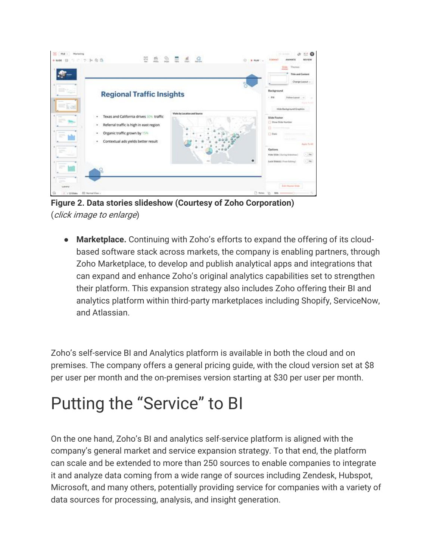

**Figure 2. Data stories slideshow (Courtesy of Zoho Corporation)** (click image to enlarge)

● **Marketplace.** Continuing with Zoho's efforts to expand the offering of its cloudbased software stack across markets, the company is enabling partners, through Zoho Marketplace, to develop and publish analytical apps and integrations that can expand and enhance Zoho's original analytics capabilities set to strengthen their platform. This expansion strategy also includes Zoho offering their BI and analytics platform within third-party marketplaces including Shopify, ServiceNow, and Atlassian.

Zoho's self-service BI and Analytics platform is available in both the cloud and on premises. The company offers a general pricing guide, with the cloud version set at \$8 per user per month and the on-premises version starting at \$30 per user per month.

## Putting the "Service" to BI

On the one hand, Zoho's BI and analytics self-service platform is aligned with the company's general market and service expansion strategy. To that end, the platform can scale and be extended to more than 250 sources to enable companies to integrate it and analyze data coming from a wide range of sources including Zendesk, Hubspot, Microsoft, and many others, potentially providing service for companies with a variety of data sources for processing, analysis, and insight generation.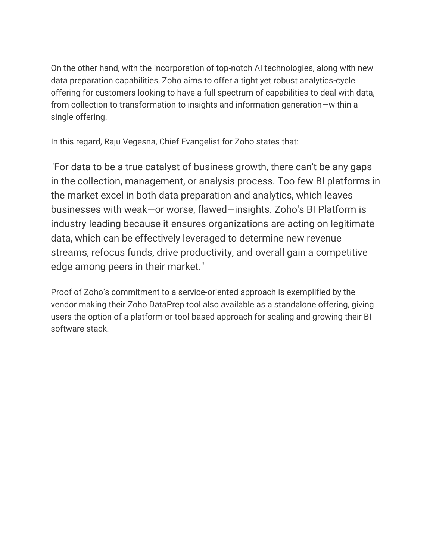On the other hand, with the incorporation of top-notch AI technologies, along with new data preparation capabilities, Zoho aims to offer a tight yet robust analytics-cycle offering for customers looking to have a full spectrum of capabilities to deal with data, from collection to transformation to insights and information generation—within a single offering.

In this regard, Raju Vegesna, Chief Evangelist for Zoho states that:

"For data to be a true catalyst of business growth, there can't be any gaps in the collection, management, or analysis process. Too few BI platforms in the market excel in both data preparation and analytics, which leaves businesses with weak—or worse, flawed—insights. Zoho's BI Platform is industry-leading because it ensures organizations are acting on legitimate data, which can be effectively leveraged to determine new revenue streams, refocus funds, drive productivity, and overall gain a competitive edge among peers in their market."

Proof of Zoho's commitment to a service-oriented approach is exemplified by the vendor making their Zoho DataPrep tool also available as a standalone offering, giving users the option of a platform or tool-based approach for scaling and growing their BI software stack.